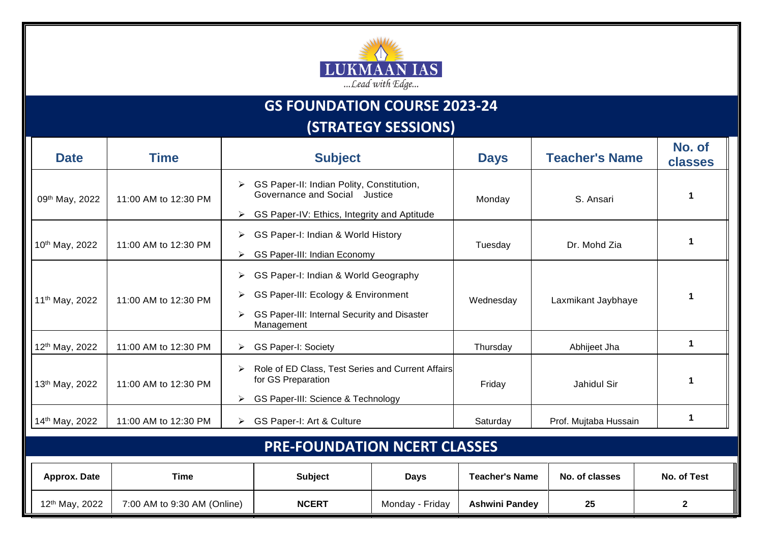

## **GS FOUNDATION COURSE 2023-24**

**(STRATEGY SESSIONS)**

| <b>Date</b>                         | <b>Time</b>                 | <b>Subject</b>                                                                                                                                           |                 | <b>Days</b>             | <b>Teacher's Name</b> | No. of<br>classes |  |  |  |  |  |
|-------------------------------------|-----------------------------|----------------------------------------------------------------------------------------------------------------------------------------------------------|-----------------|-------------------------|-----------------------|-------------------|--|--|--|--|--|
| 09th May, 2022                      | 11:00 AM to 12:30 PM        | GS Paper-II: Indian Polity, Constitution,<br>➤<br>Governance and Social Justice<br>GS Paper-IV: Ethics, Integrity and Aptitude<br>➤                      |                 | Monday                  | S. Ansari             | 1                 |  |  |  |  |  |
| 10th May, 2022                      | 11:00 AM to 12:30 PM        | GS Paper-I: Indian & World History<br>➤<br>GS Paper-III: Indian Economy<br>➤                                                                             |                 | Dr. Mohd Zia<br>Tuesday |                       | $\mathbf 1$       |  |  |  |  |  |
| 11 <sup>th</sup> May, 2022          | 11:00 AM to 12:30 PM        | GS Paper-I: Indian & World Geography<br>➤<br>GS Paper-III: Ecology & Environment<br>➤<br>GS Paper-III: Internal Security and Disaster<br>➤<br>Management |                 | Wednesday               | Laxmikant Jaybhaye    | 1                 |  |  |  |  |  |
| 12th May, 2022                      | 11:00 AM to 12:30 PM        | <b>GS Paper-I: Society</b><br>➤                                                                                                                          |                 | Thursday                | Abhijeet Jha          | $\mathbf 1$       |  |  |  |  |  |
| 13th May, 2022                      | 11:00 AM to 12:30 PM        | Role of ED Class, Test Series and Current Affairs<br>➤<br>for GS Preparation<br>GS Paper-III: Science & Technology<br>➤                                  |                 | Friday                  | Jahidul Sir           | 1                 |  |  |  |  |  |
| 14th May, 2022                      | 11:00 AM to 12:30 PM        | GS Paper-I: Art & Culture<br>➤                                                                                                                           |                 | Saturday                | Prof. Mujtaba Hussain | $\mathbf 1$       |  |  |  |  |  |
| <b>PRE-FOUNDATION NCERT CLASSES</b> |                             |                                                                                                                                                          |                 |                         |                       |                   |  |  |  |  |  |
| Approx. Date                        | <b>Time</b>                 | <b>Subject</b>                                                                                                                                           | <b>Days</b>     | <b>Teacher's Name</b>   | No. of classes        | No. of Test       |  |  |  |  |  |
| 12 <sup>th</sup> May, 2022          | 7:00 AM to 9:30 AM (Online) | <b>NCERT</b>                                                                                                                                             | Monday - Friday | <b>Ashwini Pandey</b>   | 25                    | $\mathbf{2}$      |  |  |  |  |  |